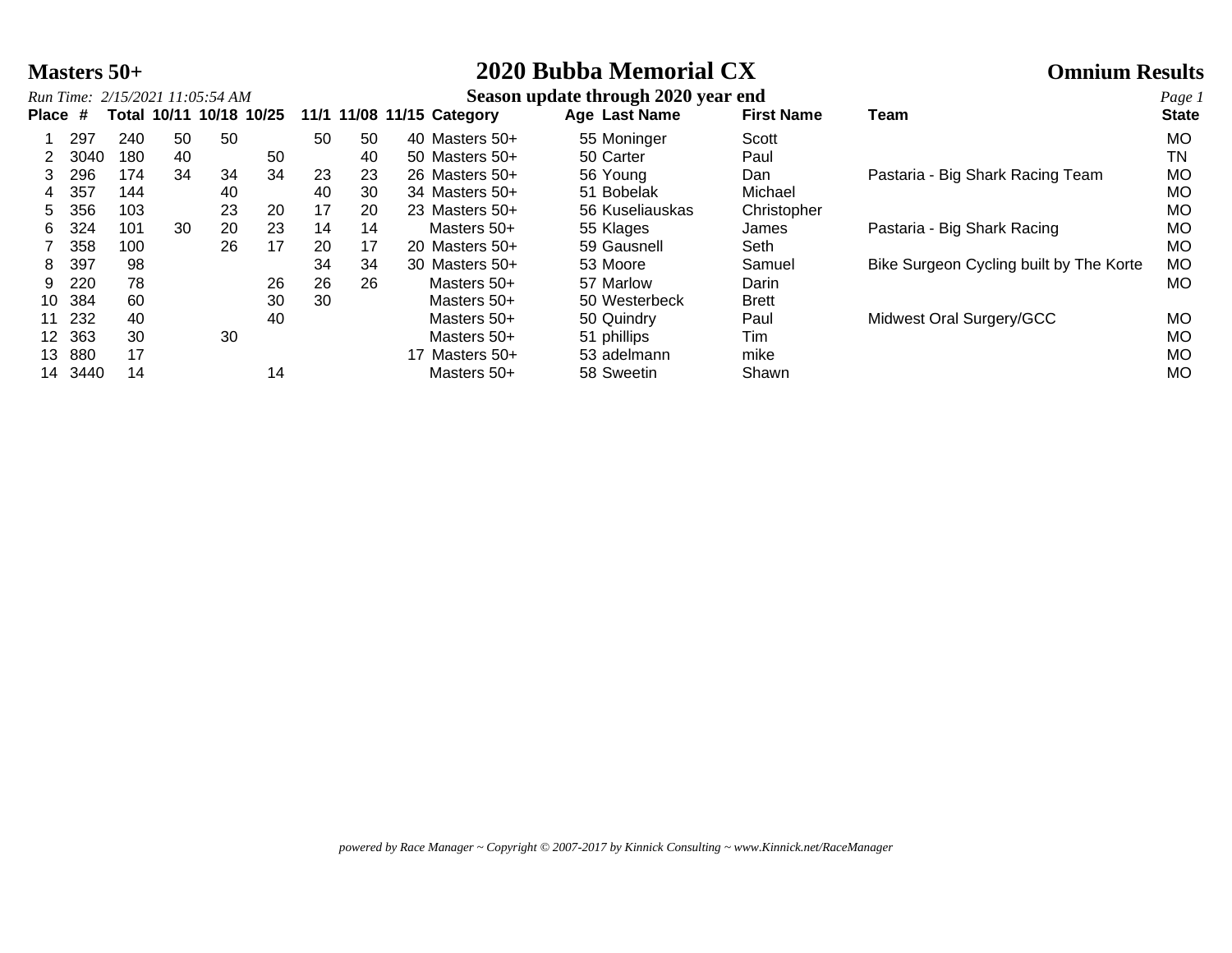# **Masters 50+ 2020 Bubba Memorial CX Omnium Results**

|         |      |     |             | Run Time: 2/15/2021 11:05:54 AM |    |    |    |                           | Season update through 2020 year end |                   |                                         | Page 1       |
|---------|------|-----|-------------|---------------------------------|----|----|----|---------------------------|-------------------------------------|-------------------|-----------------------------------------|--------------|
| Place # |      |     | Total 10/11 | 10/18 10/25                     |    |    |    | 11/1 11/08 11/15 Category | Age Last Name                       | <b>First Name</b> | Team                                    | <b>State</b> |
|         | 297  | 240 | 50          | 50                              |    | 50 | 50 | 40 Masters 50+            | 55 Moninger                         | Scott             |                                         | MO           |
|         | 3040 | 180 | 40          |                                 | 50 |    | 40 | 50 Masters 50+            | 50 Carter                           | Paul              |                                         | TN           |
| 3.      | 296  | 174 | 34          | 34                              | 34 | 23 | 23 | 26 Masters 50+            | 56 Young                            | Dan               | Pastaria - Big Shark Racing Team        | <b>MO</b>    |
| 4       | 357  | 144 |             | 40                              |    | 40 | 30 | 34 Masters 50+            | 51 Bobelak                          | Michael           |                                         | MO           |
| 5.      | 356  | 103 |             | 23                              | 20 | 17 | 20 | 23 Masters 50+            | 56 Kuseliauskas                     | Christopher       |                                         | MO           |
| 6.      | 324  | 101 | 30          | 20                              | 23 | 14 | 14 | Masters 50+               | 55 Klages                           | James             | Pastaria - Big Shark Racing             | MO           |
|         | 358  | 100 |             | 26                              | 17 | 20 | 17 | 20 Masters 50+            | 59 Gausnell                         | Seth              |                                         | MO.          |
| 8.      | 397  | 98  |             |                                 |    | 34 | 34 | 30 Masters 50+            | 53 Moore                            | Samuel            | Bike Surgeon Cycling built by The Korte | МO           |
| 9.      | 220  | 78  |             |                                 | 26 | 26 | 26 | Masters 50+               | 57 Marlow                           | Darin             |                                         | MO.          |
| 10      | 384  | 60  |             |                                 | 30 | 30 |    | Masters 50+               | 50 Westerbeck                       | <b>Brett</b>      |                                         |              |
| 11      | 232  | 40  |             |                                 | 40 |    |    | Masters 50+               | 50 Quindry                          | Paul              | Midwest Oral Surgery/GCC                | MO           |
| 12.     | 363  | 30  |             | 30                              |    |    |    | Masters 50+               | 51 phillips                         | Tim               |                                         | MO           |
| 13      | 880  | 17  |             |                                 |    |    |    | 17 Masters 50+            | 53 adelmann                         | mike              |                                         | MO           |
| 14      | 3440 | 14  |             |                                 | 14 |    |    | Masters 50+               | 58 Sweetin                          | Shawn             |                                         | MO           |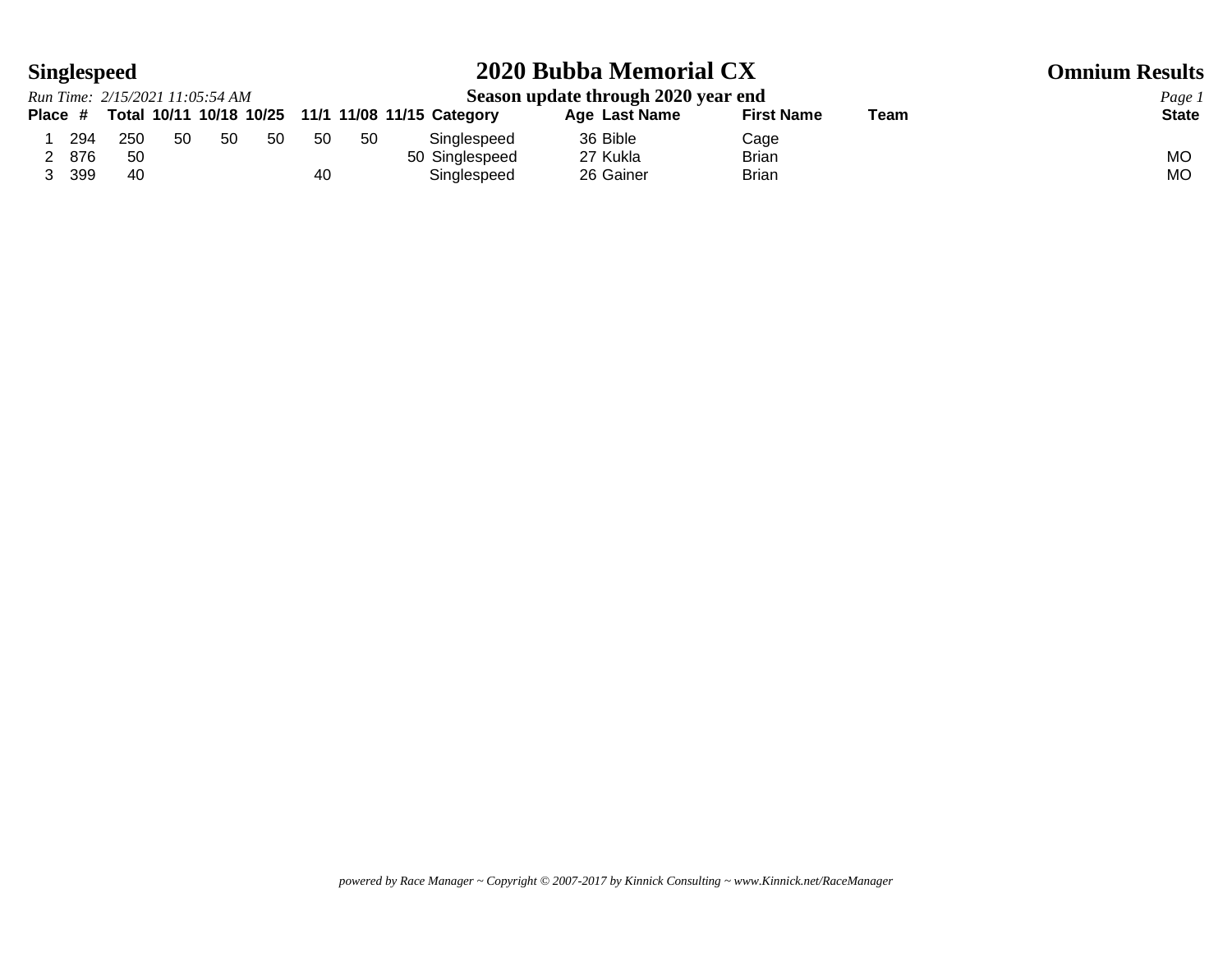# **Singlespeed 2020 Bubba Memorial CX Omnium Results**

|     | Run Time: 2/15/2021 11:05:54 AM |     |     |     |     |     |                                                           | Season update through 2020 year end |                   |      | Page 1       |
|-----|---------------------------------|-----|-----|-----|-----|-----|-----------------------------------------------------------|-------------------------------------|-------------------|------|--------------|
|     |                                 |     |     |     |     |     | Place # Total 10/11 10/18 10/25 11/1 11/08 11/15 Category | Age Last Name                       | <b>First Name</b> | Team | <b>State</b> |
| 294 | 250                             | -50 | -50 | -50 | -50 | -50 | Singlespeed                                               | 36 Bible                            | Cage              |      |              |
| 876 | 50                              |     |     |     |     |     | 50 Singlespeed                                            | 27 Kukla                            | <b>Brian</b>      |      | МO           |
| 399 | 40                              |     |     |     | 40  |     | Singlespeed                                               | 26 Gainer                           | <b>Brian</b>      |      | MO.          |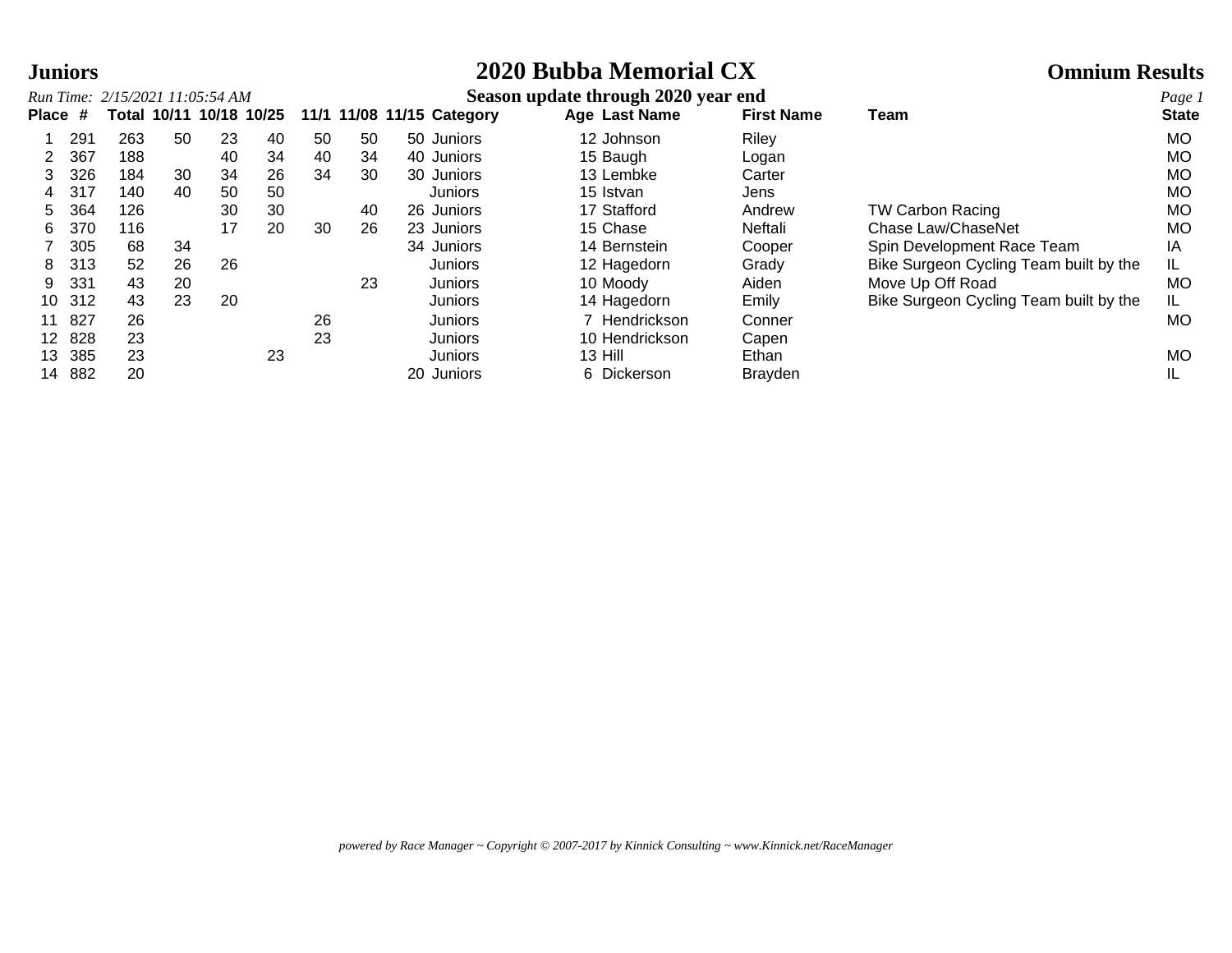# **Juniors 2020 Bubba Memorial CX Omnium Results**

|              |     | Run Time: 2/15/2021 11:05:54 AM |    |                         |    |    |    |                           | Season update through 2020 year end |                   |                                        | Page 1       |
|--------------|-----|---------------------------------|----|-------------------------|----|----|----|---------------------------|-------------------------------------|-------------------|----------------------------------------|--------------|
| <b>Place</b> | #   |                                 |    | Total 10/11 10/18 10/25 |    |    |    | 11/1 11/08 11/15 Category | Age Last Name                       | <b>First Name</b> | Team                                   | <b>State</b> |
|              | 291 | 263                             | 50 | 23                      | 40 | 50 | 50 | 50 Juniors                | 12 Johnson                          | Riley             |                                        | MO.          |
|              | 367 | 188                             |    | 40                      | 34 | 40 | 34 | 40 Juniors                | 15 Baugh                            | Logan             |                                        | <b>MO</b>    |
|              | 326 | 184                             | 30 | 34                      | 26 | 34 | 30 | 30 Juniors                | 13 Lembke                           | Carter            |                                        | <b>MO</b>    |
| 4            | 317 | 140                             | 40 | 50                      | 50 |    |    | Juniors                   | 15 Istvan                           | Jens              |                                        | MO.          |
| 5            | 364 | 126                             |    | 30                      | 30 |    | 40 | 26 Juniors                | 17 Stafford                         | Andrew            | <b>TW Carbon Racing</b>                | <b>MO</b>    |
| 6            | 370 | 116                             |    | 17                      | 20 | 30 | 26 | 23 Juniors                | 15 Chase                            | Neftali           | Chase Law/ChaseNet                     | <b>MO</b>    |
|              | 305 | 68                              | 34 |                         |    |    |    | 34 Juniors                | 14 Bernstein                        | Cooper            | Spin Development Race Team             | ΙA           |
| 8            | 313 | 52                              | 26 | 26                      |    |    |    | Juniors                   | 12 Hagedorn                         | Grady             | Bike Surgeon Cycling Team built by the | IL           |
| 9            | 331 | 43                              | 20 |                         |    |    | 23 | Juniors                   | 10 Moody                            | Aiden             | Move Up Off Road                       | <b>MO</b>    |
| 10           | 312 | 43                              | 23 | 20                      |    |    |    | Juniors                   | 14 Hagedorn                         | Emily             | Bike Surgeon Cycling Team built by the | IL.          |
|              | 827 | 26                              |    |                         |    | 26 |    | Juniors                   | 7 Hendrickson                       | Conner            |                                        | MO.          |
| 12.          | 828 | 23                              |    |                         |    | 23 |    | Juniors                   | 10 Hendrickson                      | Capen             |                                        |              |
| 13           | 385 | 23                              |    |                         | 23 |    |    | Juniors                   | 13 Hill                             | Ethan             |                                        | MO.          |
| 14           | 882 | 20                              |    |                         |    |    |    | 20 Juniors                | 6 Dickerson                         | <b>Brayden</b>    |                                        |              |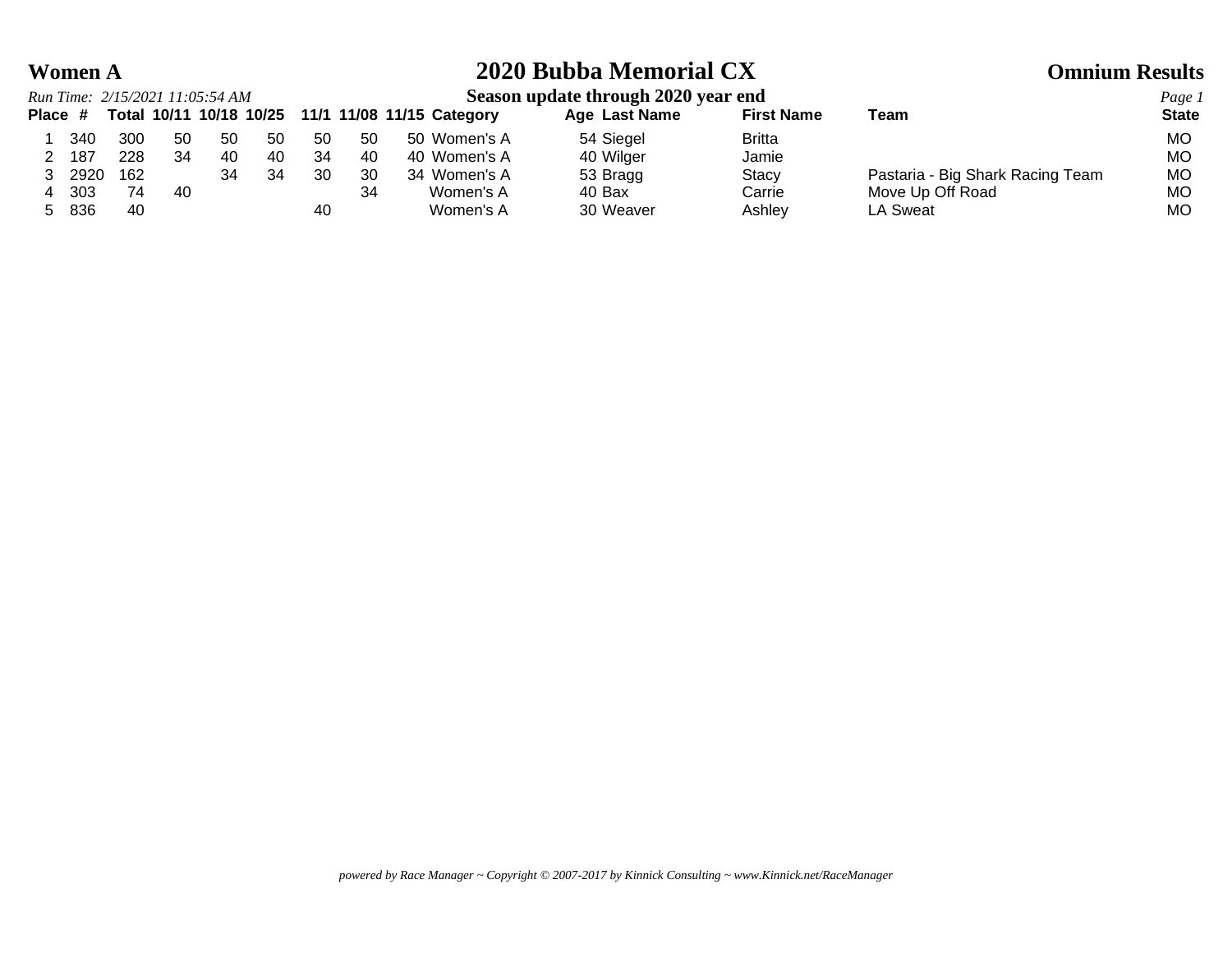# **Women A 2020 Bubba Memorial CX Omnium Results**

### *Run Time: 2/15/2021 11:05:54 AM* **Season update through 2020 year end** *Page 1* **Place # Total 10/11 10/18 10/25 11/1 11/08 11/15 Category Age Last Name First Name Team State** 1 340 300 50 50 50 50 50 50 Women's A 54 Siegel Britta MO 2 187 228 34 40 40 34 40 40 Women's A 40 Wilger Jamie MO 3 2920 162 34 34 30 30 34 Women's A 53 Bragg Stacy Bastaria - Big Shark Racing Team MO 4 303 74 40 34 Women's A 40 Bax Carrie Move Up Off Road MO 5 836 40 40 Women's A 30 Weaver Ashley LA Sweat MO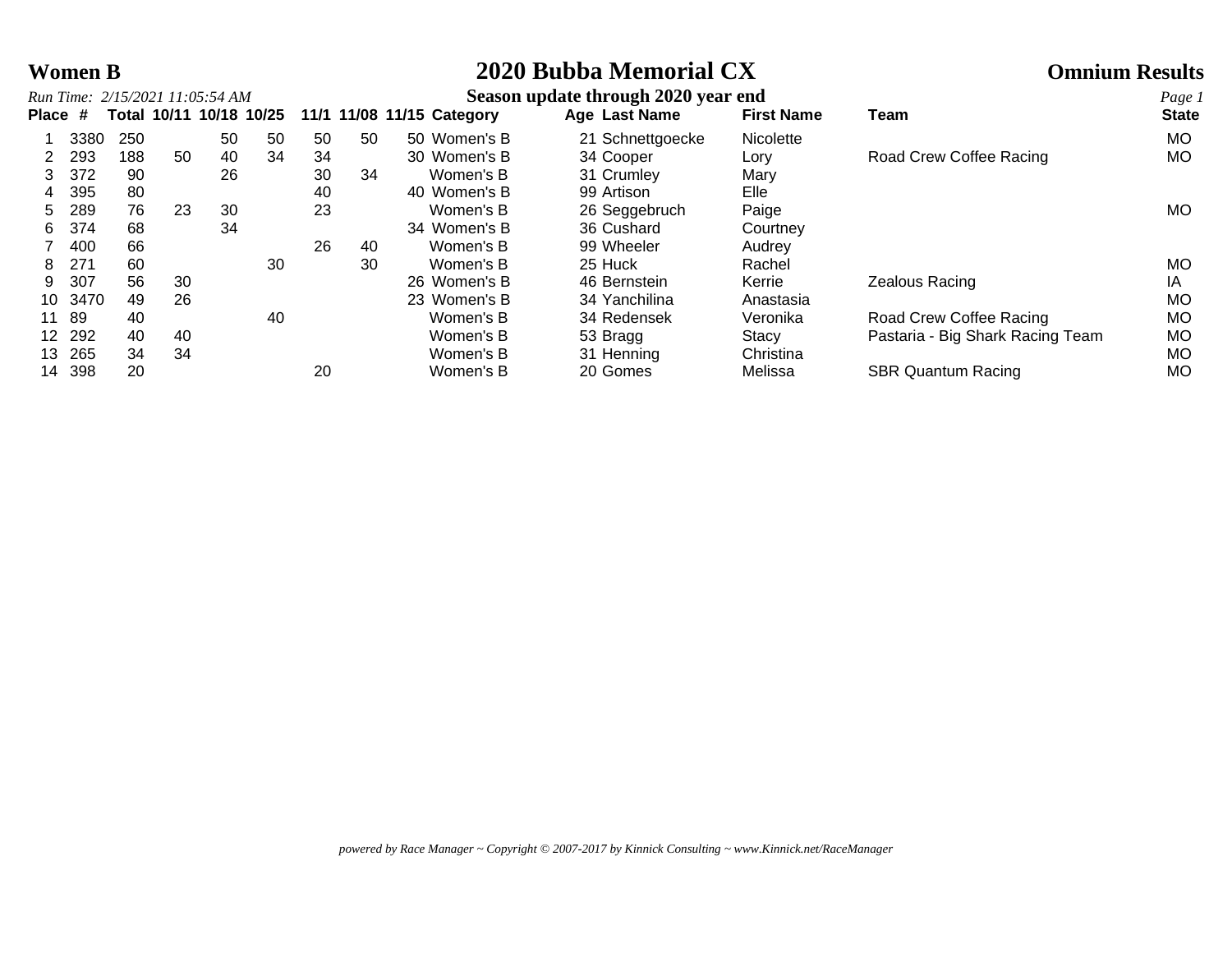# **Women B 2020 Bubba Memorial CX Omnium Results**

|              |      |       |    | Run Time: 2/15/2021 11:05:54 AM |                   |    |    |                           | Season update through 2020 year end |                   |                                  | Page 1       |
|--------------|------|-------|----|---------------------------------|-------------------|----|----|---------------------------|-------------------------------------|-------------------|----------------------------------|--------------|
| <b>Place</b> | -#   | Total |    |                                 | 10/11 10/18 10/25 |    |    | 11/1 11/08 11/15 Category | Age Last Name                       | <b>First Name</b> | Team                             | <b>State</b> |
|              | 3380 | 250   |    | 50                              | 50                | 50 | 50 | 50 Women's B              | 21 Schnettgoecke                    | <b>Nicolette</b>  |                                  | MO.          |
|              | 293  | 188   | 50 | 40                              | 34                | 34 |    | 30 Women's B              | 34 Cooper                           | Lory              | Road Crew Coffee Racing          | MO.          |
|              | 372  | 90    |    | 26                              |                   | 30 | 34 | Women's B                 | 31 Crumley                          | Mary              |                                  |              |
| 4            | 395  | 80    |    |                                 |                   | 40 |    | 40 Women's B              | 99 Artison                          | Elle              |                                  |              |
| 5.           | 289  | 76    | 23 | 30                              |                   | 23 |    | Women's B                 | 26 Seggebruch                       | Paige             |                                  | MO.          |
| 6            | 374  | 68    |    | 34                              |                   |    |    | 34 Women's B              | 36 Cushard                          | Courtney          |                                  |              |
|              | 400  | 66    |    |                                 |                   | 26 | 40 | Women's B                 | 99 Wheeler                          | Audrey            |                                  |              |
| 8            | 271  | 60    |    |                                 | 30                |    | 30 | Women's B                 | 25 Huck                             | Rachel            |                                  | MO.          |
| 9            | 307  | 56    | 30 |                                 |                   |    |    | 26 Women's B              | 46 Bernstein                        | Kerrie            | Zealous Racing                   | ΙA           |
| 10           | 3470 | 49    | 26 |                                 |                   |    |    | 23 Women's B              | 34 Yanchilina                       | Anastasia         |                                  | <b>MO</b>    |
| 11           | 89   | 40    |    |                                 | 40                |    |    | Women's B                 | 34 Redensek                         | Veronika          | Road Crew Coffee Racing          | MO           |
| 12.          | 292  | 40    | 40 |                                 |                   |    |    | Women's B                 | 53 Bragg                            | <b>Stacy</b>      | Pastaria - Big Shark Racing Team | MO.          |
| 13           | 265  | 34    | 34 |                                 |                   |    |    | Women's B                 | 31 Henning                          | Christina         |                                  | MO           |
| 14           | 398  | 20    |    |                                 |                   | 20 |    | Women's B                 | 20 Gomes                            | Melissa           | <b>SBR Quantum Racing</b>        | МO           |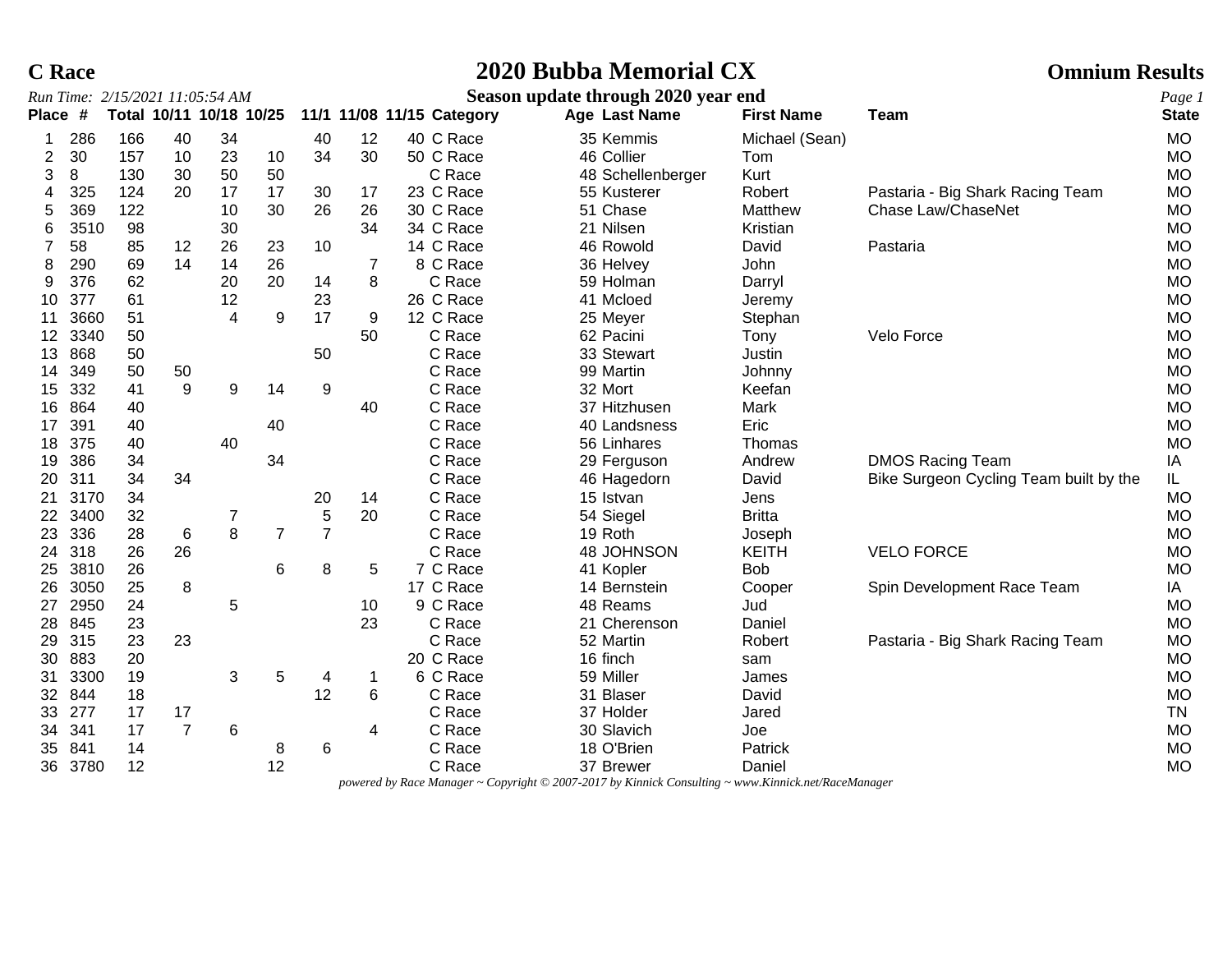# **C Race 2020 Bubba Memorial CX Omnium Results**

|       |      | Run Time: 2/15/2021 11:05:54 AM |                |                         |                |                |    |                           | Season update through 2020 year end |                   |                                        | Page 1       |
|-------|------|---------------------------------|----------------|-------------------------|----------------|----------------|----|---------------------------|-------------------------------------|-------------------|----------------------------------------|--------------|
| Place | -#   |                                 |                | Total 10/11 10/18 10/25 |                |                |    | 11/1 11/08 11/15 Category | Age Last Name                       | <b>First Name</b> | <b>Team</b>                            | <b>State</b> |
| 1     | 286  | 166                             | 40             | 34                      |                | 40             | 12 | 40 C Race                 | 35 Kemmis                           | Michael (Sean)    |                                        | <b>MO</b>    |
| 2     | 30   | 157                             | 10             | 23                      | 10             | 34             | 30 | 50 C Race                 | 46 Collier                          | Tom               |                                        | <b>MO</b>    |
| 3     | 8    | 130                             | 30             | 50                      | 50             |                |    | C Race                    | 48 Schellenberger                   | Kurt              |                                        | <b>MO</b>    |
| 4     | 325  | 124                             | 20             | 17                      | 17             | 30             | 17 | 23 C Race                 | 55 Kusterer                         | Robert            | Pastaria - Big Shark Racing Team       | <b>MO</b>    |
| 5     | 369  | 122                             |                | 10                      | 30             | 26             | 26 | 30 C Race                 | 51 Chase                            | Matthew           | Chase Law/ChaseNet                     | <b>MO</b>    |
| 6     | 3510 | 98                              |                | 30                      |                |                | 34 | 34 C Race                 | 21 Nilsen                           | Kristian          |                                        | <b>MO</b>    |
| 7     | 58   | 85                              | 12             | 26                      | 23             | 10             |    | 14 C Race                 | 46 Rowold                           | David             | Pastaria                               | <b>MO</b>    |
| 8     | 290  | 69                              | 14             | 14                      | 26             |                |    | 8 C Race                  | 36 Helvey                           | John              |                                        | <b>MO</b>    |
| 9     | 376  | 62                              |                | 20                      | 20             | 14             | 8  | C Race                    | 59 Holman                           | Darryl            |                                        | <b>MO</b>    |
| 10    | 377  | 61                              |                | 12                      |                | 23             |    | 26 C Race                 | 41 Mcloed                           | Jeremy            |                                        | <b>MO</b>    |
| 11    | 3660 | 51                              |                | 4                       | 9              | 17             | 9  | 12 C Race                 | 25 Meyer                            | Stephan           |                                        | <b>MO</b>    |
| 12    | 3340 | 50                              |                |                         |                |                | 50 | C Race                    | 62 Pacini                           | Tony              | Velo Force                             | <b>MO</b>    |
| 13    | 868  | 50                              |                |                         |                | 50             |    | C Race                    | 33 Stewart                          | Justin            |                                        | <b>MO</b>    |
| 14    | 349  | 50                              | 50             |                         |                |                |    | C Race                    | 99 Martin                           | Johnny            |                                        | <b>MO</b>    |
| 15    | 332  | 41                              | 9              | 9                       | 14             | 9              |    | C Race                    | 32 Mort                             | Keefan            |                                        | <b>MO</b>    |
| 16    | 864  | 40                              |                |                         |                |                | 40 | C Race                    | 37 Hitzhusen                        | Mark              |                                        | <b>MO</b>    |
| 17    | 391  | 40                              |                |                         | 40             |                |    | C Race                    | 40 Landsness                        | Eric              |                                        | <b>MO</b>    |
| 18    | 375  | 40                              |                | 40                      |                |                |    | C Race                    | 56 Linhares                         | Thomas            |                                        | <b>MO</b>    |
| 19    | 386  | 34                              |                |                         | 34             |                |    | C Race                    | 29 Ferguson                         | Andrew            | <b>DMOS Racing Team</b>                | IA           |
| 20    | 311  | 34                              | 34             |                         |                |                |    | C Race                    | 46 Hagedorn                         | David             | Bike Surgeon Cycling Team built by the | IL.          |
| 21    | 3170 | 34                              |                |                         |                | 20             | 14 | C Race                    | 15 Istvan                           | Jens              |                                        | <b>MO</b>    |
| 22    | 3400 | 32                              |                | 7                       |                | 5              | 20 | C Race                    | 54 Siegel                           | <b>Britta</b>     |                                        | <b>MO</b>    |
| 23    | 336  | 28                              | $\,6$          | 8                       | $\overline{7}$ | $\overline{7}$ |    | C Race                    | 19 Roth                             | Joseph            |                                        | <b>MO</b>    |
| 24    | 318  | 26                              | 26             |                         |                |                |    | C Race                    | 48 JOHNSON                          | <b>KEITH</b>      | <b>VELO FORCE</b>                      | <b>MO</b>    |
| 25    | 3810 | 26                              |                |                         | 6              | 8              | 5  | 7 C Race                  | 41 Kopler                           | <b>Bob</b>        |                                        | <b>MO</b>    |
| 26    | 3050 | 25                              | 8              |                         |                |                |    | 17 C Race                 | 14 Bernstein                        | Cooper            | Spin Development Race Team             | IA           |
| 27    | 2950 | 24                              |                | 5                       |                |                | 10 | 9 C Race                  | 48 Reams                            | Jud               |                                        | <b>MO</b>    |
| 28    | 845  | 23                              |                |                         |                |                | 23 | C Race                    | 21 Cherenson                        | Daniel            |                                        | <b>MO</b>    |
| 29    | 315  | 23                              | 23             |                         |                |                |    | C Race                    | 52 Martin                           | Robert            | Pastaria - Big Shark Racing Team       | <b>MO</b>    |
| 30    | 883  | 20                              |                |                         |                |                |    | 20 C Race                 | 16 finch                            | sam               |                                        | <b>MO</b>    |
| 31    | 3300 | 19                              |                | 3                       | 5              | 4              |    | 6 C Race                  | 59 Miller                           | James             |                                        | <b>MO</b>    |
| 32    | 844  | 18                              |                |                         |                | 12             | 6  | C Race                    | 31 Blaser                           | David             |                                        | <b>MO</b>    |
| 33    | 277  | 17                              | 17             |                         |                |                |    | C Race                    | 37 Holder                           | Jared             |                                        | <b>TN</b>    |
| 34    | 341  | 17                              | $\overline{7}$ | 6                       |                |                | 4  | C Race                    | 30 Slavich                          | Joe               |                                        | <b>MO</b>    |
| 35    | 841  | 14                              |                |                         | 8              | 6              |    | C Race                    | 18 O'Brien                          | Patrick           |                                        | <b>MO</b>    |
| 36    | 3780 | 12                              |                |                         | 12             |                |    | C Race                    | 37 Brewer                           | Daniel            |                                        | <b>MO</b>    |

*powered by Race Manager ~ Copyright © 2007-2017 by Kinnick Consulting ~ www.Kinnick.net/RaceManager*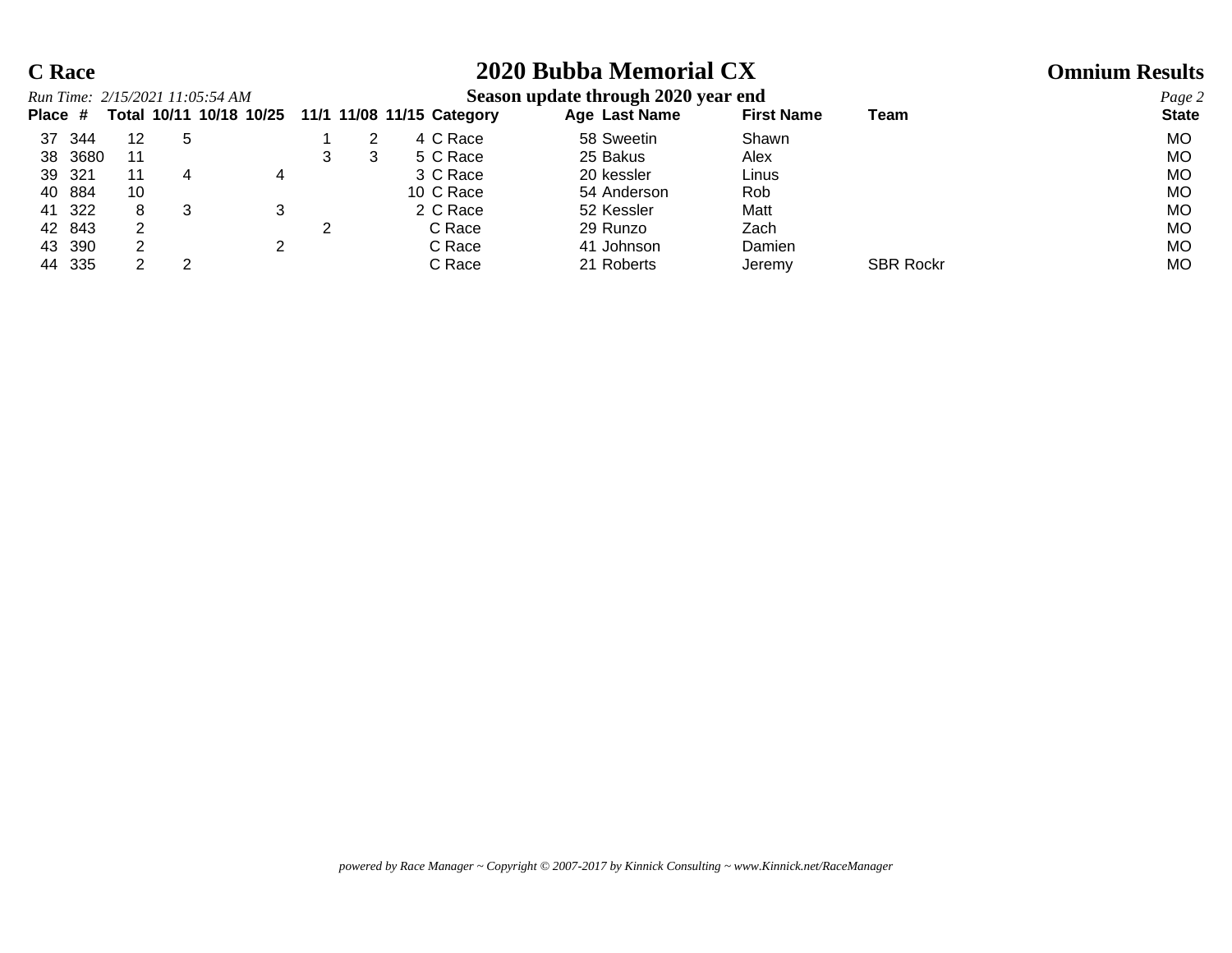# **C Race 2020 Bubba Memorial CX Omnium Results**

|         |         | Run Time: 2/15/2021 11:05:54 AM |   |                         |  |                           |            | Season update through 2020 year end |        |                   |                  | Page 2       |
|---------|---------|---------------------------------|---|-------------------------|--|---------------------------|------------|-------------------------------------|--------|-------------------|------------------|--------------|
| Place # |         |                                 |   | Total 10/11 10/18 10/25 |  | 11/1 11/08 11/15 Category |            | Age Last Name                       |        | <b>First Name</b> | Team             | <b>State</b> |
| 37      | 344     | 12                              | 5 |                         |  | 4 C Race                  |            | 58 Sweetin                          | Shawn  |                   |                  | MO.          |
|         | 38 3680 |                                 |   |                         |  | 5 C Race                  | 25 Bakus   |                                     | Alex   |                   |                  | MO           |
| 39 321  |         |                                 |   |                         |  | 3 C Race                  | 20 kessler |                                     | Linus  |                   |                  | MO           |
| 40 884  |         | 10                              |   |                         |  | 10 C Race                 |            | 54 Anderson                         | Rob    |                   |                  | MO           |
| 41 322  |         |                                 |   |                         |  | 2 C Race                  | 52 Kessler |                                     | Matt   |                   |                  | MO           |
| 42 843  |         |                                 |   |                         |  | C Race                    | 29 Runzo   |                                     | Zach   |                   |                  | MO           |
| 43 390  |         |                                 |   |                         |  | C Race                    |            | 41 Johnson                          | Damien |                   |                  | MO           |
| 44 335  |         |                                 |   |                         |  | C Race                    |            | 21 Roberts                          | Jeremy |                   | <b>SBR Rockr</b> | MO.          |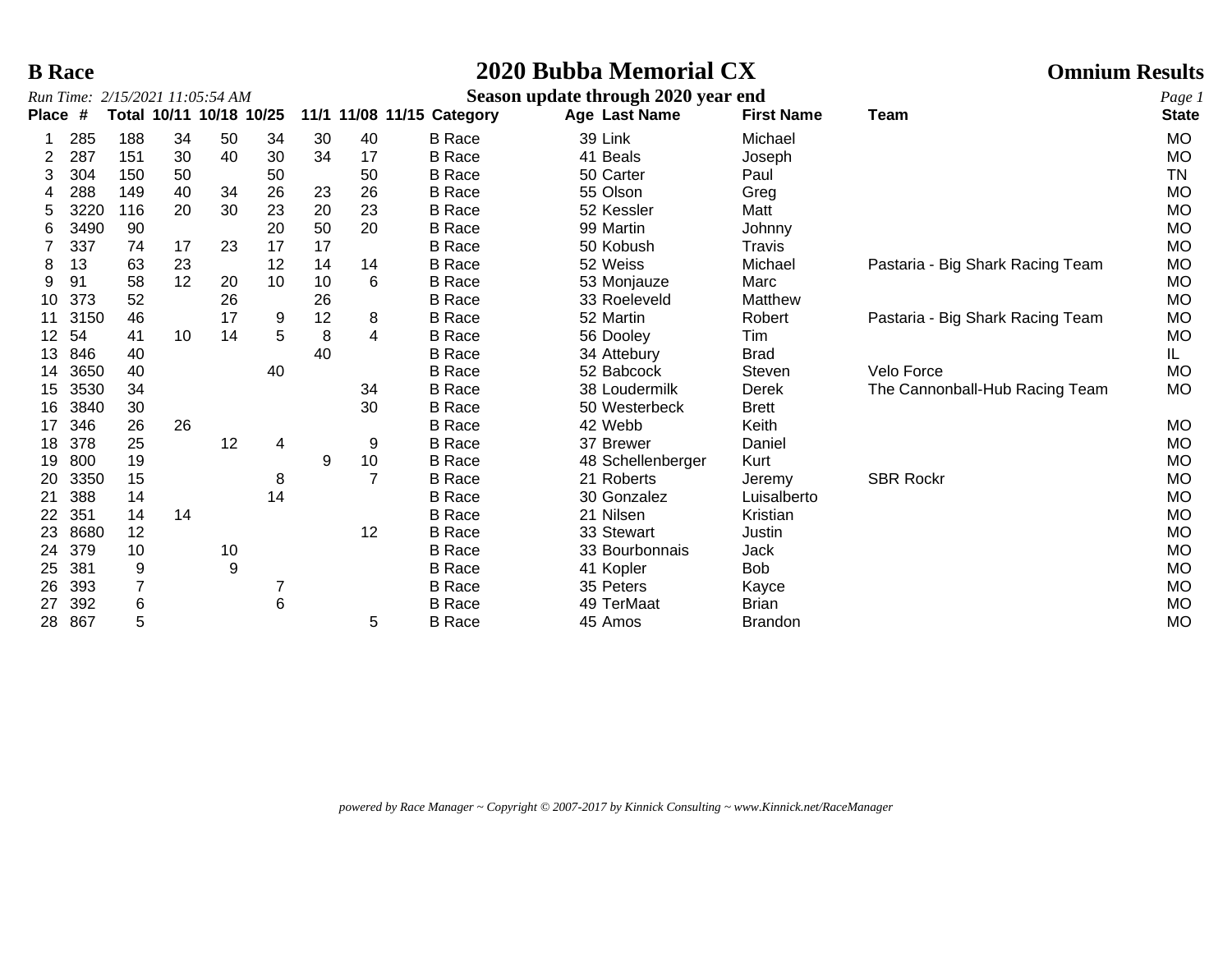## **B Race 2020 Bubba Memorial CX Omnium Results**

|              |      | Run Time: 2/15/2021 11:05:54 AM |    |                         |    |    |    |                           | Season update through 2020 year end |                   |                                  | Page 1       |
|--------------|------|---------------------------------|----|-------------------------|----|----|----|---------------------------|-------------------------------------|-------------------|----------------------------------|--------------|
| <b>Place</b> | #    |                                 |    | Total 10/11 10/18 10/25 |    |    |    | 11/1 11/08 11/15 Category | Age Last Name                       | <b>First Name</b> | Team                             | <b>State</b> |
|              | 285  | 188                             | 34 | 50                      | 34 | 30 | 40 | <b>B</b> Race             | 39 Link                             | Michael           |                                  | <b>MO</b>    |
| 2            | 287  | 151                             | 30 | 40                      | 30 | 34 | 17 | <b>B</b> Race             | 41 Beals                            | Joseph            |                                  | <b>MO</b>    |
| 3            | 304  | 150                             | 50 |                         | 50 |    | 50 | <b>B</b> Race             | 50 Carter                           | Paul              |                                  | TN           |
|              | 288  | 149                             | 40 | 34                      | 26 | 23 | 26 | <b>B</b> Race             | 55 Olson                            | Greg              |                                  | <b>MO</b>    |
|              | 3220 | 116                             | 20 | 30                      | 23 | 20 | 23 | <b>B</b> Race             | 52 Kessler                          | Matt              |                                  | <b>MO</b>    |
| 6            | 3490 | 90                              |    |                         | 20 | 50 | 20 | <b>B</b> Race             | 99 Martin                           | Johnny            |                                  | <b>MO</b>    |
|              | 337  | 74                              | 17 | 23                      | 17 | 17 |    | <b>B</b> Race             | 50 Kobush                           | Travis            |                                  | MO           |
| 8            | 13   | 63                              | 23 |                         | 12 | 14 | 14 | <b>B</b> Race             | 52 Weiss                            | Michael           | Pastaria - Big Shark Racing Team | <b>MO</b>    |
| 9            | 91   | 58                              | 12 | 20                      | 10 | 10 | 6  | <b>B</b> Race             | 53 Monjauze                         | Marc              |                                  | MO           |
| 10           | 373  | 52                              |    | 26                      |    | 26 |    | <b>B</b> Race             | 33 Roeleveld                        | Matthew           |                                  | <b>MO</b>    |
| 11           | 3150 | 46                              |    | 17                      | 9  | 12 | 8  | <b>B</b> Race             | 52 Martin                           | Robert            | Pastaria - Big Shark Racing Team | MO           |
| 12           | 54   | 41                              | 10 | 14                      | 5  | 8  | 4  | <b>B</b> Race             | 56 Dooley                           | Tim               |                                  | MO           |
| 13           | 846  | 40                              |    |                         |    | 40 |    | <b>B</b> Race             | 34 Attebury                         | <b>Brad</b>       |                                  | IL.          |
| 14           | 3650 | 40                              |    |                         | 40 |    |    | <b>B</b> Race             | 52 Babcock                          | Steven            | Velo Force                       | <b>MO</b>    |
| 15           | 3530 | 34                              |    |                         |    |    | 34 | <b>B</b> Race             | 38 Loudermilk                       | <b>Derek</b>      | The Cannonball-Hub Racing Team   | <b>MO</b>    |
| 16           | 3840 | 30                              |    |                         |    |    | 30 | <b>B</b> Race             | 50 Westerbeck                       | <b>Brett</b>      |                                  |              |
| 17           | 346  | 26                              | 26 |                         |    |    |    | <b>B</b> Race             | 42 Webb                             | Keith             |                                  | MO           |
| 18           | 378  | 25                              |    | 12                      | 4  |    | 9  | <b>B</b> Race             | 37 Brewer                           | Daniel            |                                  | <b>MO</b>    |
| 19           | 800  | 19                              |    |                         |    | 9  | 10 | <b>B</b> Race             | 48 Schellenberger                   | Kurt              |                                  | <b>MO</b>    |
| 20           | 3350 | 15                              |    |                         | 8  |    | 7  | <b>B</b> Race             | 21 Roberts                          | Jeremy            | <b>SBR Rockr</b>                 | MO           |
| 21           | 388  | 14                              |    |                         | 14 |    |    | <b>B</b> Race             | 30 Gonzalez                         | Luisalberto       |                                  | MO           |
| 22           | 351  | 14                              | 14 |                         |    |    |    | <b>B</b> Race             | 21 Nilsen                           | Kristian          |                                  | MO           |
| 23           | 8680 | 12                              |    |                         |    |    | 12 | <b>B</b> Race             | 33 Stewart                          | Justin            |                                  | <b>MO</b>    |
| 24           | 379  | 10                              |    | 10                      |    |    |    | <b>B</b> Race             | 33 Bourbonnais                      | Jack              |                                  | MO           |
| 25           | 381  | 9                               |    | 9                       |    |    |    | <b>B</b> Race             | 41 Kopler                           | <b>Bob</b>        |                                  | MO           |
| 26           | 393  |                                 |    |                         |    |    |    | <b>B</b> Race             | 35 Peters                           | Kayce             |                                  | MO           |
| 27           | 392  | 6                               |    |                         | 6  |    |    | <b>B</b> Race             | 49 TerMaat                          | <b>Brian</b>      |                                  | <b>MO</b>    |
| 28.          | 867  | 5                               |    |                         |    |    | 5  | <b>B</b> Race             | 45 Amos                             | <b>Brandon</b>    |                                  | MO           |

*powered by Race Manager ~ Copyright © 2007-2017 by Kinnick Consulting ~ www.Kinnick.net/RaceManager*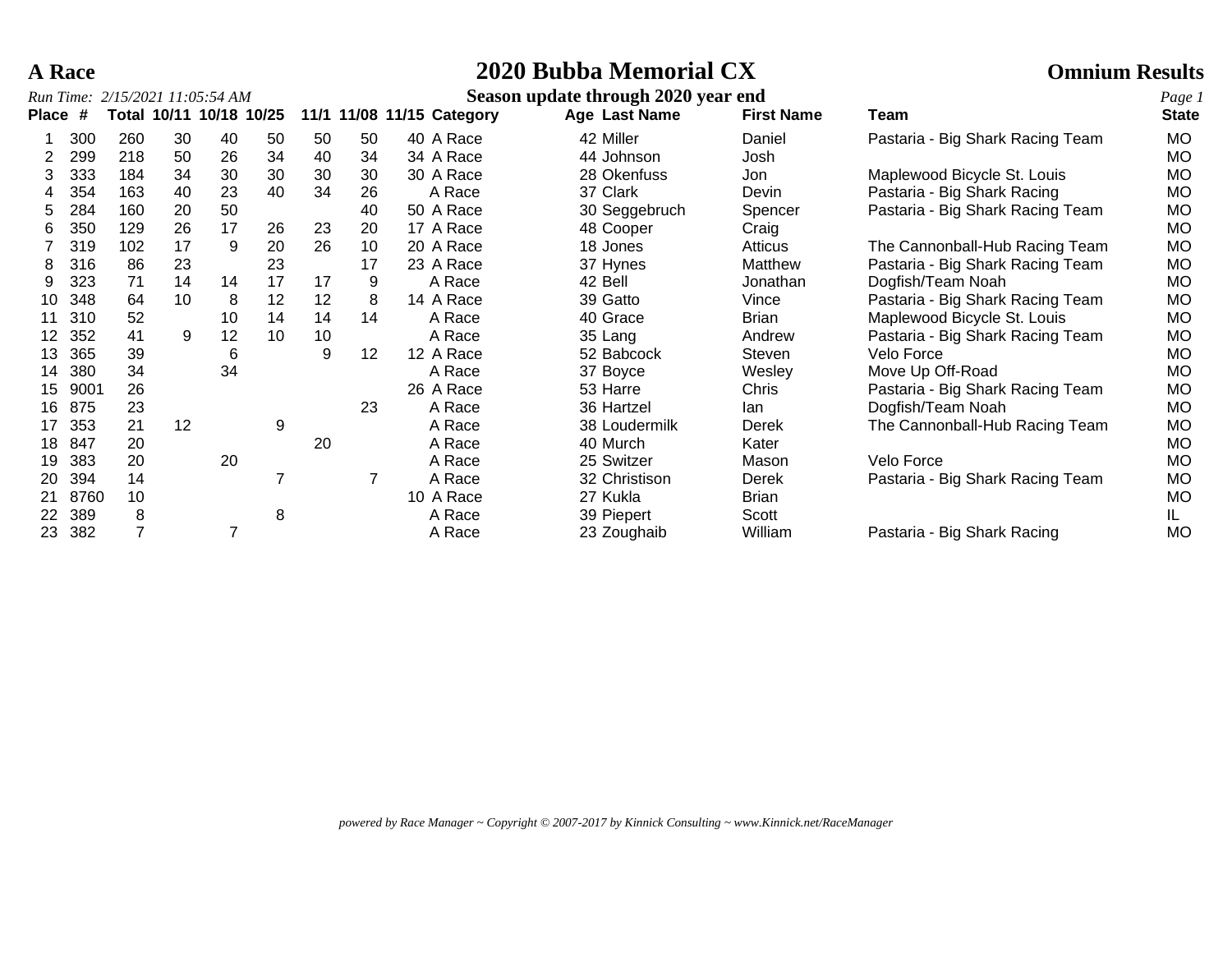# **A Race 2020 Bubba Memorial CX Omnium Results**

### *Run Time: 2/15/2021 11:05:54 AM* **Season update through 2020 year end** *Page 1*

| <b>Place</b> | #    |     |    | Total 10/11 10/18 10/25 |    |    |    | 11/1 11/08 11/15 Category | Age Last Name | <b>First Name</b> | Team                             | $\cdot$<br><b>State</b> |
|--------------|------|-----|----|-------------------------|----|----|----|---------------------------|---------------|-------------------|----------------------------------|-------------------------|
|              | 300  | 260 | 30 | 40                      | 50 | 50 | 50 | 40 A Race                 | 42 Miller     | Daniel            | Pastaria - Big Shark Racing Team | <b>MO</b>               |
|              | 299  | 218 | 50 | 26                      | 34 | 40 | 34 | 34 A Race                 | 44 Johnson    | Josh              |                                  | <b>MO</b>               |
|              | 333  | 184 | 34 | 30                      | 30 | 30 | 30 | 30 A Race                 | 28 Okenfuss   | Jon               | Maplewood Bicycle St. Louis      | <b>MO</b>               |
|              | 354  | 163 | 40 | 23                      | 40 | 34 | 26 | A Race                    | 37 Clark      | Devin             | Pastaria - Big Shark Racing      | <b>MO</b>               |
| 5            | 284  | 160 | 20 | 50                      |    |    | 40 | 50 A Race                 | 30 Seggebruch | Spencer           | Pastaria - Big Shark Racing Team | MO                      |
| 6            | 350  | 129 | 26 | 17                      | 26 | 23 | 20 | 17 A Race                 | 48 Cooper     | Craig             |                                  | <b>MO</b>               |
|              | 319  | 102 | 17 | 9                       | 20 | 26 | 10 | 20 A Race                 | 18 Jones      | Atticus           | The Cannonball-Hub Racing Team   | <b>MO</b>               |
|              | 316  | 86  | 23 |                         | 23 |    | 17 | 23 A Race                 | 37 Hynes      | Matthew           | Pastaria - Big Shark Racing Team | <b>MO</b>               |
|              | 323  | 71  | 14 | 14                      | 17 | 17 | 9  | A Race                    | 42 Bell       | Jonathan          | Dogfish/Team Noah                | <b>MO</b>               |
| 10           | 348  | 64  | 10 | 8                       | 12 | 12 | 8  | 14 A Race                 | 39 Gatto      | Vince             | Pastaria - Big Shark Racing Team | MO                      |
|              | 310  | 52  |    | 10                      | 14 | 14 | 14 | A Race                    | 40 Grace      | Brian             | Maplewood Bicycle St. Louis      | MO                      |
| 12           | 352  | 41  | 9  | 12                      | 10 | 10 |    | A Race                    | 35 Lang       | Andrew            | Pastaria - Big Shark Racing Team | <b>MO</b>               |
| 13           | 365  | 39  |    | 6                       |    | 9  | 12 | 12 A Race                 | 52 Babcock    | Steven            | Velo Force                       | <b>MO</b>               |
| 14           | 380  | 34  |    | 34                      |    |    |    | A Race                    | 37 Boyce      | Wesley            | Move Up Off-Road                 | <b>MO</b>               |
| 15           | 9001 | 26  |    |                         |    |    |    | 26 A Race                 | 53 Harre      | Chris             | Pastaria - Big Shark Racing Team | <b>MO</b>               |
| 16           | 875  | 23  |    |                         |    |    | 23 | A Race                    | 36 Hartzel    | lan.              | Dogfish/Team Noah                | МO                      |
|              | 353  | 21  | 12 |                         | 9  |    |    | A Race                    | 38 Loudermilk | Derek             | The Cannonball-Hub Racing Team   | <b>MO</b>               |
| 18           | 847  | 20  |    |                         |    | 20 |    | A Race                    | 40 Murch      | Kater             |                                  | МO                      |
| 19           | 383  | 20  |    | 20                      |    |    |    | A Race                    | 25 Switzer    | Mason             | Velo Force                       | <b>MO</b>               |
| 20           | 394  | 14  |    |                         |    |    |    | A Race                    | 32 Christison | Derek             | Pastaria - Big Shark Racing Team | <b>MO</b>               |
| 21           | 8760 | 10  |    |                         |    |    |    | 10 A Race                 | 27 Kukla      | <b>Brian</b>      |                                  | МO                      |
| 22           | 389  | 8   |    |                         | 8  |    |    | A Race                    | 39 Piepert    | Scott             |                                  | IL.                     |
| 23           | 382  |     |    | 7                       |    |    |    | A Race                    | 23 Zoughaib   | William           | Pastaria - Big Shark Racing      | <b>MO</b>               |

*powered by Race Manager ~ Copyright © 2007-2017 by Kinnick Consulting ~ www.Kinnick.net/RaceManager*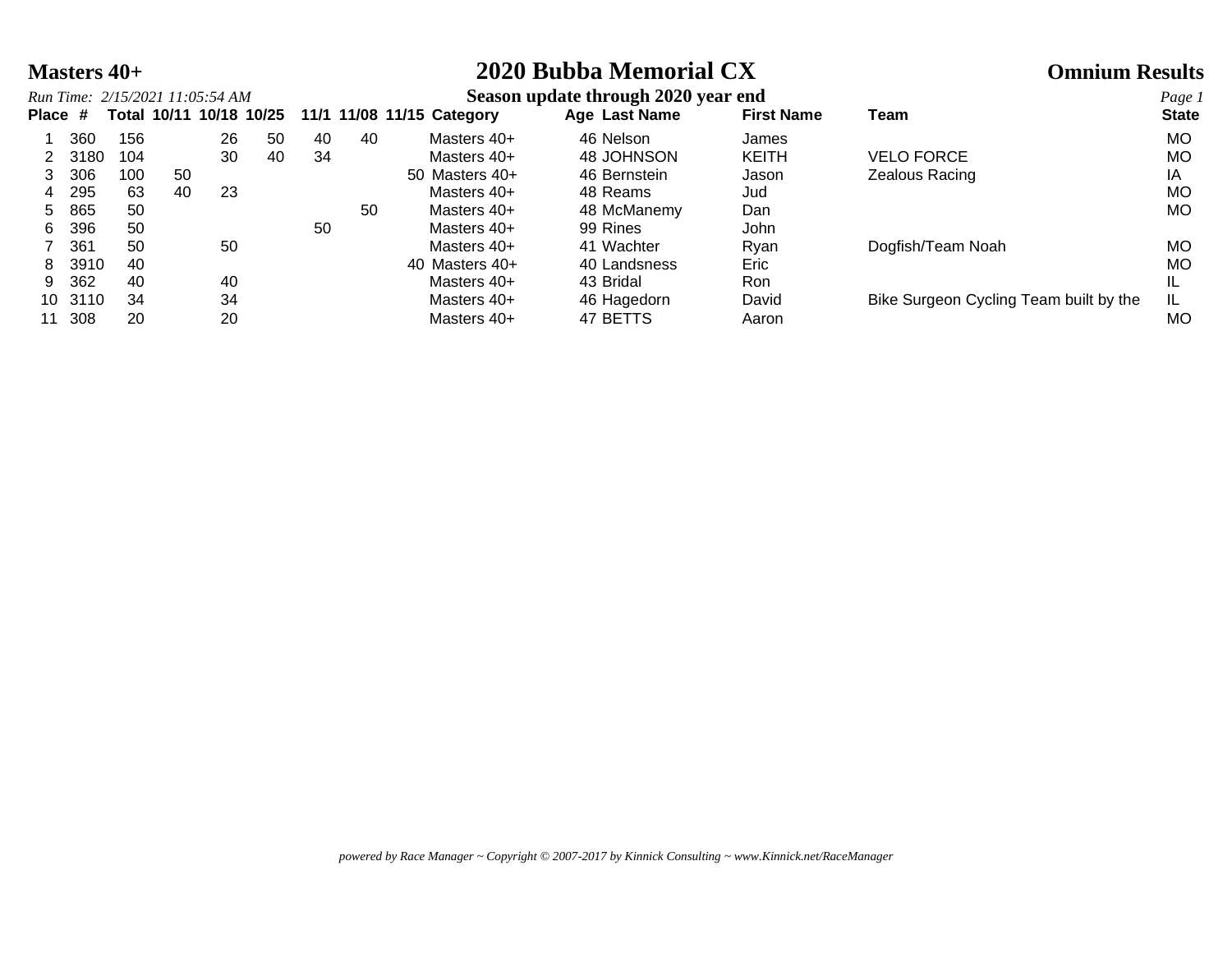# **Masters 40+ 2020 Bubba Memorial CX Omnium Results**

|         |      |     |    | Run Time: 2/15/2021 11:05:54 AM |                         |    |    |                           | Season update through 2020 year end |                   |                                        | Page 1       |
|---------|------|-----|----|---------------------------------|-------------------------|----|----|---------------------------|-------------------------------------|-------------------|----------------------------------------|--------------|
| Place # |      |     |    |                                 | Total 10/11 10/18 10/25 |    |    | 11/1 11/08 11/15 Category | Age Last Name                       | <b>First Name</b> | Team                                   | <b>State</b> |
|         | 360  | 156 |    | 26                              | 50                      | 40 | 40 | Masters 40+               | 46 Nelson                           | James             |                                        | MO.          |
|         | 3180 | 104 |    | 30                              | 40                      | 34 |    | Masters 40+               | 48 JOHNSON                          | <b>KEITH</b>      | <b>VELO FORCE</b>                      | МO           |
| 3       | 306  | 100 | 50 |                                 |                         |    |    | 50 Masters 40+            | 46 Bernstein                        | Jason             | Zealous Racing                         | ΙA           |
| 4       | 295  | 63  | 40 | 23                              |                         |    |    | Masters 40+               | 48 Reams                            | Jud               |                                        | <b>MO</b>    |
| 5.      | 865  | 50  |    |                                 |                         |    | 50 | Masters 40+               | 48 McManemy                         | Dan               |                                        | MO.          |
| 6.      | 396  | 50  |    |                                 |                         | 50 |    | Masters 40+               | 99 Rines                            | John              |                                        |              |
|         | 361  | 50  |    | 50                              |                         |    |    | Masters 40+               | 41 Wachter                          | Ryan              | Dogfish/Team Noah                      | MO.          |
| 8       | 3910 | 40  |    |                                 |                         |    |    | 40 Masters 40+            | 40 Landsness                        | Eric              |                                        | MO           |
| 9       | 362  | 40  |    | 40                              |                         |    |    | Masters 40+               | 43 Bridal                           | Ron               |                                        |              |
| 10      | 3110 | 34  |    | 34                              |                         |    |    | Masters 40+               | 46 Hagedorn                         | David             | Bike Surgeon Cycling Team built by the |              |
| 11      | 308  | 20  |    | 20                              |                         |    |    | Masters 40+               | 47 BETTS                            | Aaron             |                                        | МO           |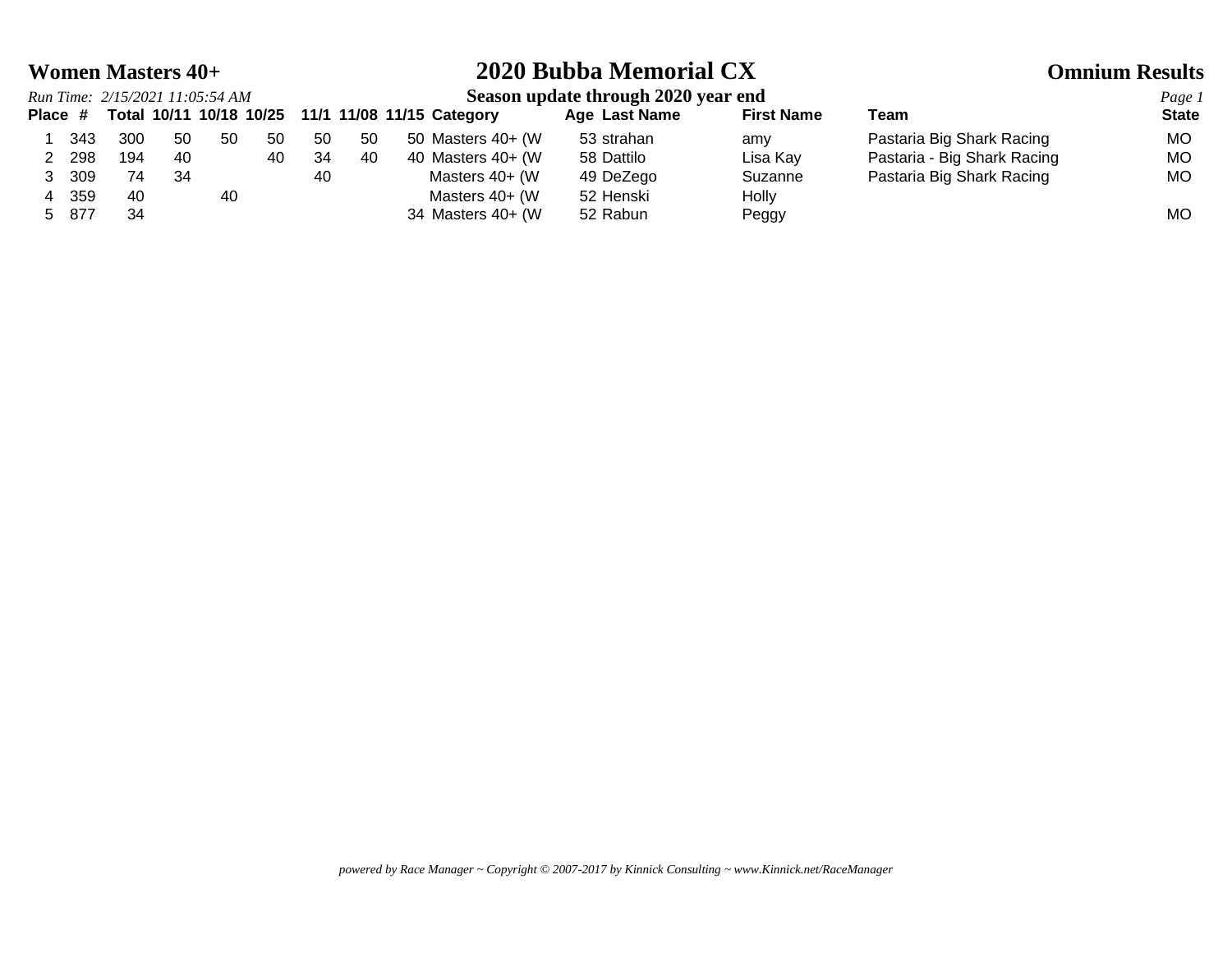## **Women Masters 40+ 2020 Bubba Memorial CX Omnium Results**

## *Run Time: 2/15/2021 11:05:54 AM* **Season update through 2020 year end** *Page 1* **Place # Total 10/11 10/18 10/25 11/1 11/08 11/15 Category Age Last Name First Name Team State** 1 343 300 50 50 50 50 50 50 Masters 40+ (W 53 strahan amy Pastaria Big Shark Racing MO 2 298 194 40 40 34 40 40 Masters 40+ (W 58 Dattilo Lisa Kay Pastaria - Big Shark Racing MO 3 309 74 34 10 40 Masters 40+ (W 49 DeZego Suzanne Pastaria Big Shark Racing MO 4 359 40 40 Masters 40+ (W 52 Henski Holly 5 877 34 34 Masters 40+ (W 52 Rabun Peggy 134 Montangle 2014) MO